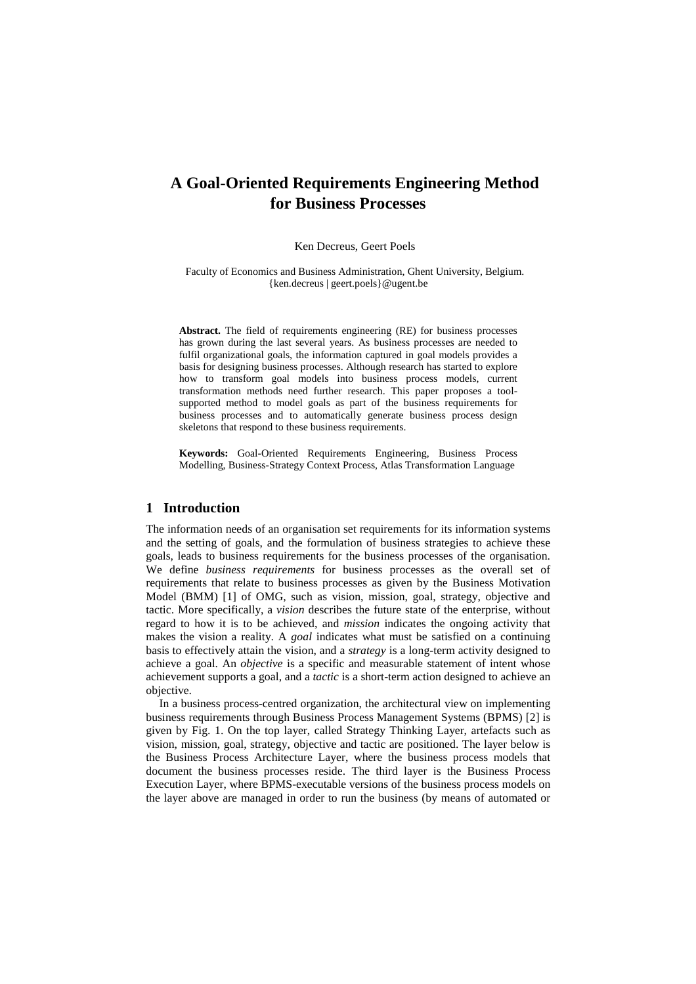# **A Goal-Oriented Requirements Engineering Method for Business Processes**

#### Ken Decreus, Geert Poels

Faculty of Economics and Business Administration, Ghent University, Belgium. {ken.decreus | geert.poels}@ugent.be

**Abstract.** The field of requirements engineering (RE) for business processes has grown during the last several years. As business processes are needed to fulfil organizational goals, the information captured in goal models provides a basis for designing business processes. Although research has started to explore how to transform goal models into business process models, current transformation methods need further research. This paper proposes a toolsupported method to model goals as part of the business requirements for business processes and to automatically generate business process design skeletons that respond to these business requirements.

**Keywords:** Goal-Oriented Requirements Engineering, Business Process Modelling, Business-Strategy Context Process, Atlas Transformation Language

# **1 Introduction**

The information needs of an organisation set requirements for its information systems and the setting of goals, and the formulation of business strategies to achieve these goals, leads to business requirements for the business processes of the organisation. We define *business requirements* for business processes as the overall set of requirements that relate to business processes as given by the Business Motivation Model (BMM) [1] of OMG, such as vision, mission, goal, strategy, objective and tactic. More specifically, a *vision* describes the future state of the enterprise, without regard to how it is to be achieved, and *mission* indicates the ongoing activity that makes the vision a reality. A *goal* indicates what must be satisfied on a continuing basis to effectively attain the vision, and a *strategy* is a long-term activity designed to achieve a goal. An *objective* is a specific and measurable statement of intent whose achievement supports a goal, and a *tactic* is a short-term action designed to achieve an objective.

In a business process-centred organization, the architectural view on implementing business requirements through Business Process Management Systems (BPMS) [2] is given by Fig. 1. On the top layer, called Strategy Thinking Layer, artefacts such as vision, mission, goal, strategy, objective and tactic are positioned. The layer below is the Business Process Architecture Layer, where the business process models that document the business processes reside. The third layer is the Business Process Execution Layer, where BPMS-executable versions of the business process models on the layer above are managed in order to run the business (by means of automated or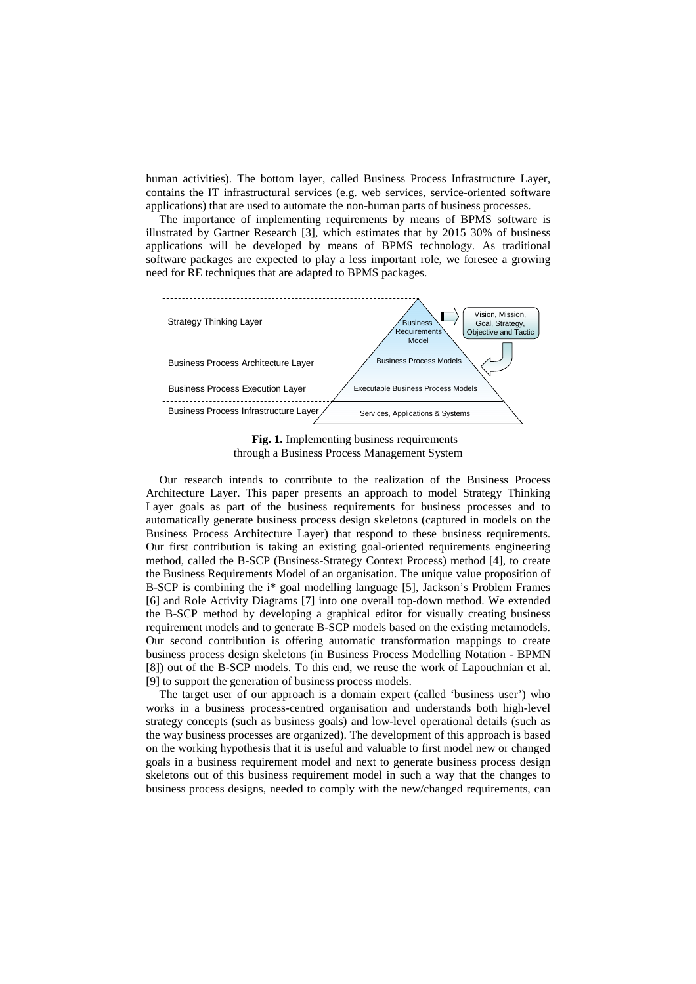human activities). The bottom layer, called Business Process Infrastructure Layer, contains the IT infrastructural services (e.g. web services, service-oriented software applications) that are used to automate the non-human parts of business processes.

The importance of implementing requirements by means of BPMS software is illustrated by Gartner Research [3], which estimates that by 2015 30% of business applications will be developed by means of BPMS technology. As traditional software packages are expected to play a less important role, we foresee a growing need for RE techniques that are adapted to BPMS packages.



**Fig. 1.** Implementing business requirements through a Business Process Management System

Our research intends to contribute to the realization of the Business Process Architecture Layer. This paper presents an approach to model Strategy Thinking Layer goals as part of the business requirements for business processes and to automatically generate business process design skeletons (captured in models on the Business Process Architecture Layer) that respond to these business requirements. Our first contribution is taking an existing goal-oriented requirements engineering method, called the B-SCP (Business-Strategy Context Process) method [4], to create the Business Requirements Model of an organisation. The unique value proposition of B-SCP is combining the i\* goal modelling language [5], Jackson's Problem Frames [6] and Role Activity Diagrams [7] into one overall top-down method. We extended the B-SCP method by developing a graphical editor for visually creating business requirement models and to generate B-SCP models based on the existing metamodels. Our second contribution is offering automatic transformation mappings to create business process design skeletons (in Business Process Modelling Notation - BPMN [8]) out of the B-SCP models. To this end, we reuse the work of Lapouchnian et al. [9] to support the generation of business process models.

The target user of our approach is a domain expert (called 'business user') who works in a business process-centred organisation and understands both high-level strategy concepts (such as business goals) and low-level operational details (such as the way business processes are organized). The development of this approach is based on the working hypothesis that it is useful and valuable to first model new or changed goals in a business requirement model and next to generate business process design skeletons out of this business requirement model in such a way that the changes to business process designs, needed to comply with the new/changed requirements, can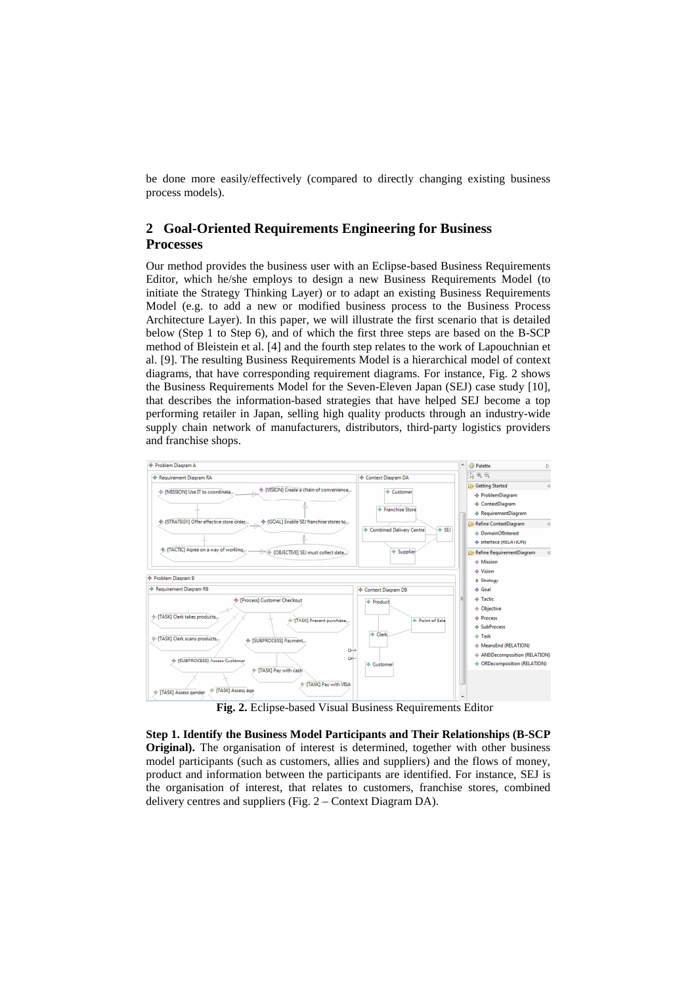be done more easily/effectively (compared to directly changing existing business process models).

# **2 Goal-Oriented Requirements Engineering for Business Processes**

Our method provides the business user with an Eclipse-based Business Requirements Editor, which he/she employs to design a new Business Requirements Model (to initiate the Strategy Thinking Layer) or to adapt an existing Business Requirements Model (e.g. to add a new or modified business process to the Business Process Architecture Layer). In this paper, we will illustrate the first scenario that is detailed below (Step 1 to Step 6), and of which the first three steps are based on the B-SCP method of Bleistein et al. [4] and the fourth step relates to the work of Lapouchnian et al. [9]. The resulting Business Requirements Model is a hierarchical model of context diagrams, that have corresponding requirement diagrams. For instance, Fig. 2 shows the Business Requirements Model for the Seven-Eleven Japan (SEJ) case study [10], that describes the information-based strategies that have helped SEJ become a top performing retailer in Japan, selling high quality products through an industry-wide supply chain network of manufacturers, distributors, third-party logistics providers and franchise shops.



**Fig. 2.** Eclipse-based Visual Business Requirements Editor

**Step 1. Identify the Business Model Participants and Their Relationships (B-SCP Original).** The organisation of interest is determined, together with other business model participants (such as customers, allies and suppliers) and the flows of money, product and information between the participants are identified. For instance, SEJ is the organisation of interest, that relates to customers, franchise stores, combined delivery centres and suppliers (Fig. 2 – Context Diagram DA).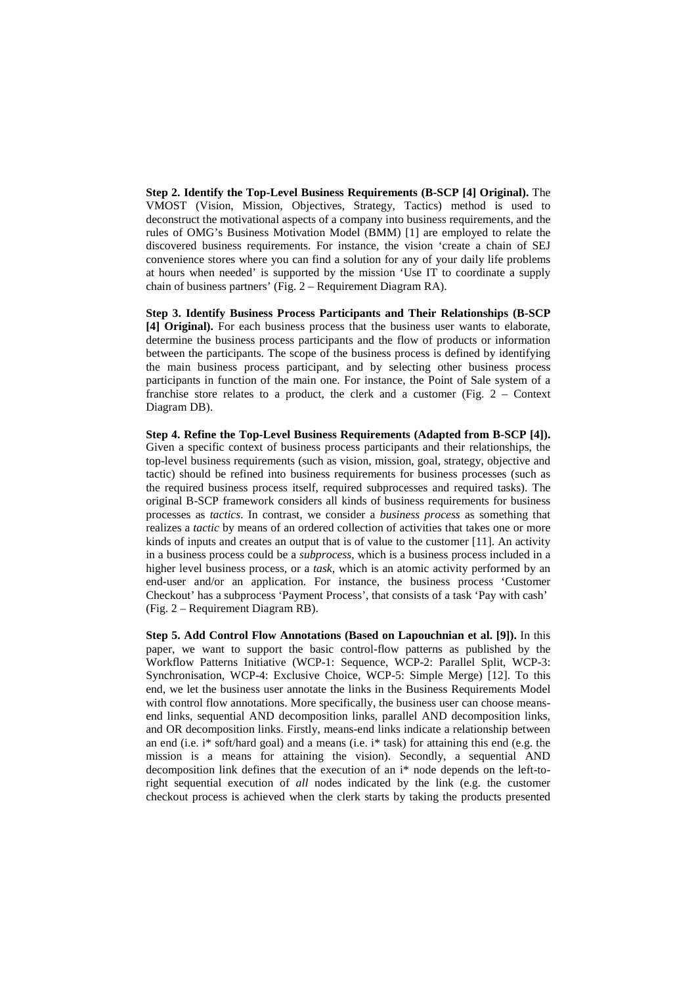**Step 2. Identify the Top-Level Business Requirements (B-SCP [4] Original).** The VMOST (Vision, Mission, Objectives, Strategy, Tactics) method is used to deconstruct the motivational aspects of a company into business requirements, and the rules of OMG's Business Motivation Model (BMM) [1] are employed to relate the discovered business requirements. For instance, the vision 'create a chain of SEJ convenience stores where you can find a solution for any of your daily life problems at hours when needed' is supported by the mission 'Use IT to coordinate a supply chain of business partners' (Fig. 2 – Requirement Diagram RA).

**Step 3. Identify Business Process Participants and Their Relationships (B-SCP [4] Original).** For each business process that the business user wants to elaborate, determine the business process participants and the flow of products or information between the participants. The scope of the business process is defined by identifying the main business process participant, and by selecting other business process participants in function of the main one. For instance, the Point of Sale system of a franchise store relates to a product, the clerk and a customer (Fig. 2 – Context Diagram DB).

**Step 4. Refine the Top-Level Business Requirements (Adapted from B-SCP [4]).** Given a specific context of business process participants and their relationships, the top-level business requirements (such as vision, mission, goal, strategy, objective and tactic) should be refined into business requirements for business processes (such as the required business process itself, required subprocesses and required tasks). The original B-SCP framework considers all kinds of business requirements for business processes as *tactics*. In contrast, we consider a *business process* as something that realizes a *tactic* by means of an ordered collection of activities that takes one or more kinds of inputs and creates an output that is of value to the customer [11]. An activity in a business process could be a *subprocess*, which is a business process included in a higher level business process, or a *task*, which is an atomic activity performed by an end-user and/or an application. For instance, the business process 'Customer Checkout' has a subprocess 'Payment Process', that consists of a task 'Pay with cash' (Fig. 2 – Requirement Diagram RB).

**Step 5. Add Control Flow Annotations (Based on Lapouchnian et al. [9]).** In this paper, we want to support the basic control-flow patterns as published by the Workflow Patterns Initiative (WCP-1: Sequence, WCP-2: Parallel Split, WCP-3: Synchronisation, WCP-4: Exclusive Choice, WCP-5: Simple Merge) [12]. To this end, we let the business user annotate the links in the Business Requirements Model with control flow annotations. More specifically, the business user can choose meansend links, sequential AND decomposition links, parallel AND decomposition links, and OR decomposition links. Firstly, means-end links indicate a relationship between an end (i.e. i\* soft/hard goal) and a means (i.e. i\* task) for attaining this end (e.g. the mission is a means for attaining the vision). Secondly, a sequential AND decomposition link defines that the execution of an i\* node depends on the left-toright sequential execution of *all* nodes indicated by the link (e.g. the customer checkout process is achieved when the clerk starts by taking the products presented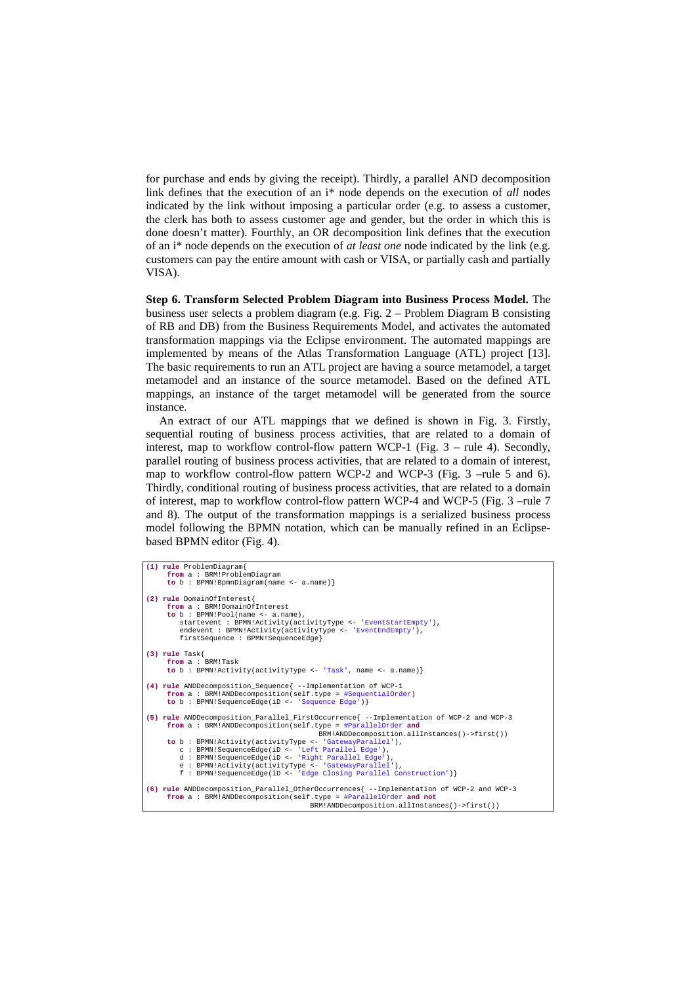for purchase and ends by giving the receipt). Thirdly, a parallel AND decomposition link defines that the execution of an i\* node depends on the execution of *all* nodes indicated by the link without imposing a particular order (e.g. to assess a customer, the clerk has both to assess customer age and gender, but the order in which this is done doesn't matter). Fourthly, an OR decomposition link defines that the execution of an i\* node depends on the execution of *at least one* node indicated by the link (e.g. customers can pay the entire amount with cash or VISA, or partially cash and partially VISA).

**Step 6. Transform Selected Problem Diagram into Business Process Model.** The business user selects a problem diagram (e.g. Fig. 2 – Problem Diagram B consisting of RB and DB) from the Business Requirements Model, and activates the automated transformation mappings via the Eclipse environment. The automated mappings are implemented by means of the Atlas Transformation Language (ATL) project [13]. The basic requirements to run an ATL project are having a source metamodel, a target metamodel and an instance of the source metamodel. Based on the defined ATL mappings, an instance of the target metamodel will be generated from the source instance.

An extract of our ATL mappings that we defined is shown in Fig. 3. Firstly, sequential routing of business process activities, that are related to a domain of interest, map to workflow control-flow pattern WCP-1 (Fig. 3 – rule 4). Secondly, parallel routing of business process activities, that are related to a domain of interest, map to workflow control-flow pattern WCP-2 and WCP-3 (Fig. 3 –rule 5 and 6). Thirdly, conditional routing of business process activities, that are related to a domain of interest, map to workflow control-flow pattern WCP-4 and WCP-5 (Fig. 3 –rule 7 and 8). The output of the transformation mappings is a serialized business process model following the BPMN notation, which can be manually refined in an Eclipsebased BPMN editor (Fig. 4).

```
(1) rule ProblemDiagram{ 
 from a : BRM!ProblemDiagram 
 to b : BPMN!BpmnDiagram(name <- a.name)} 
(2) rule DomainOfInterest{ 
 from a : BRM!DomainOfInterest 
 to b : BPMN!Pool(name <- a.name), 
 startevent : BPMN!Activity(activityType <- 'EventStartEmpty'), 
 endevent : BPMN!Activity(activityType <- 'EventEndEmpty'), 
            firstSequence : BPMN!SequenceEdge} 
(3) rule Task{ 
 from a : BRM!Task 
 to b : BPMN!Activity(activityType <- 'Task', name <- a.name)} 
(4) rule ANDDecomposition_Sequence{ --Implementation of WCP-1 
 from a : BRM!ANDDecomposition(self.type = #SequentialOrder) 
 to b : BPMN!SequenceEdge(iD <- 'Sequence Edge')} 
(5) rule ANDDecomposition_Parallel_FirstOccurrence{ --Implementation of WCP-2 and WCP-3 
 from a : BRM!ANDDecomposition(self.type = #ParallelOrder and
       ERM!ANDDecomposition.allInstances()->first())<br>to b: BPMN!Activity(activityType <- 'GatewayParallel'),
to b: BPMN!Activity(activityType <- 'GatewayParallel'),<br>
c: BPMN!SequenceEdge(iD <- 'Left Parallel Edge'),<br>
d: BPMN!SequenceEdge(iD <- 'Left Parallel Edge'),<br>
e: BPMN!SequenceEdge(iD <- 'GatewayParallel'),<br>
f: BPMN!Sequenc
(6) rule ANDDecomposition_Parallel_OtherOccurrences{ --Implementation of WCP-2 and WCP-3 
        from a : BRM!ANDDecomposition(self.type = #ParallelOrder and not
                                                           BRM!ANDDecomposition.allInstances()->first())
```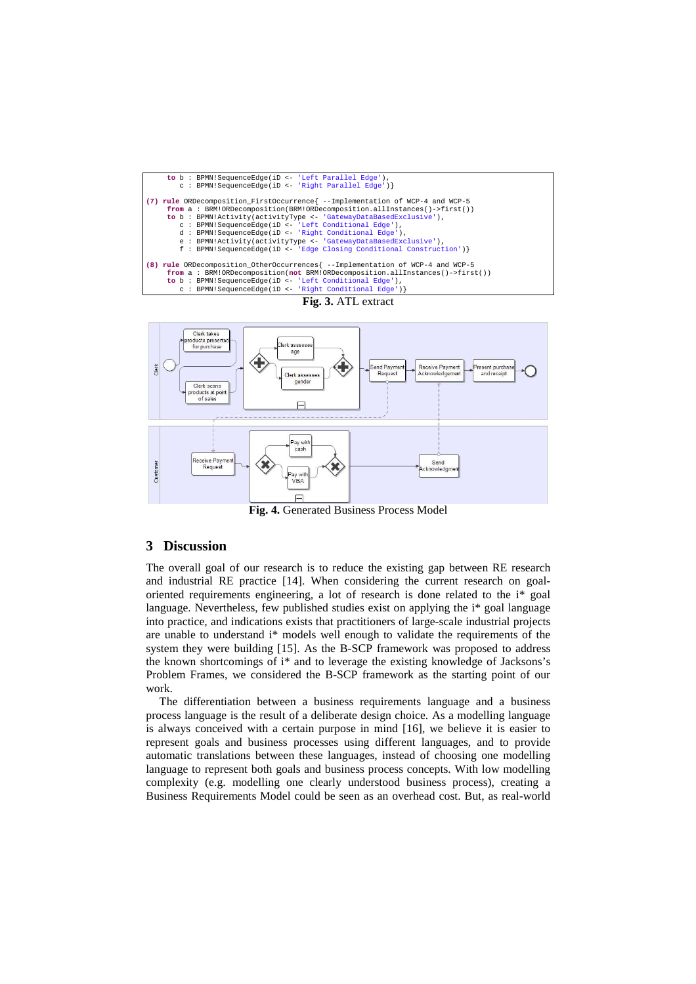





**Fig. 4.** Generated Business Process Model

# **3 Discussion**

The overall goal of our research is to reduce the existing gap between RE research and industrial RE practice [14]. When considering the current research on goaloriented requirements engineering, a lot of research is done related to the i\* goal language. Nevertheless, few published studies exist on applying the i\* goal language into practice, and indications exists that practitioners of large-scale industrial projects are unable to understand i\* models well enough to validate the requirements of the system they were building [15]. As the B-SCP framework was proposed to address the known shortcomings of i\* and to leverage the existing knowledge of Jacksons's Problem Frames, we considered the B-SCP framework as the starting point of our work.

The differentiation between a business requirements language and a business process language is the result of a deliberate design choice. As a modelling language is always conceived with a certain purpose in mind [16], we believe it is easier to represent goals and business processes using different languages, and to provide automatic translations between these languages, instead of choosing one modelling language to represent both goals and business process concepts. With low modelling complexity (e.g. modelling one clearly understood business process), creating a Business Requirements Model could be seen as an overhead cost. But, as real-world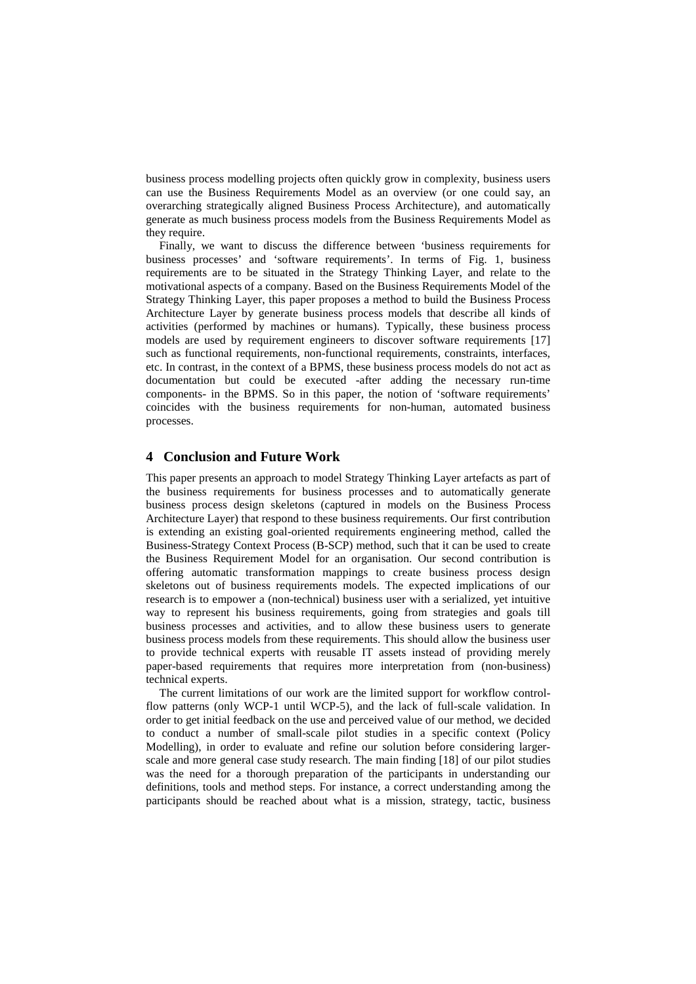business process modelling projects often quickly grow in complexity, business users can use the Business Requirements Model as an overview (or one could say, an overarching strategically aligned Business Process Architecture), and automatically generate as much business process models from the Business Requirements Model as they require.

Finally, we want to discuss the difference between 'business requirements for business processes' and 'software requirements'. In terms of Fig. 1, business requirements are to be situated in the Strategy Thinking Layer, and relate to the motivational aspects of a company. Based on the Business Requirements Model of the Strategy Thinking Layer, this paper proposes a method to build the Business Process Architecture Layer by generate business process models that describe all kinds of activities (performed by machines or humans). Typically, these business process models are used by requirement engineers to discover software requirements [17] such as functional requirements, non-functional requirements, constraints, interfaces, etc. In contrast, in the context of a BPMS, these business process models do not act as documentation but could be executed -after adding the necessary run-time components- in the BPMS. So in this paper, the notion of 'software requirements' coincides with the business requirements for non-human, automated business processes.

# **4 Conclusion and Future Work**

This paper presents an approach to model Strategy Thinking Layer artefacts as part of the business requirements for business processes and to automatically generate business process design skeletons (captured in models on the Business Process Architecture Layer) that respond to these business requirements. Our first contribution is extending an existing goal-oriented requirements engineering method, called the Business-Strategy Context Process (B-SCP) method, such that it can be used to create the Business Requirement Model for an organisation. Our second contribution is offering automatic transformation mappings to create business process design skeletons out of business requirements models. The expected implications of our research is to empower a (non-technical) business user with a serialized, yet intuitive way to represent his business requirements, going from strategies and goals till business processes and activities, and to allow these business users to generate business process models from these requirements. This should allow the business user to provide technical experts with reusable IT assets instead of providing merely paper-based requirements that requires more interpretation from (non-business) technical experts.

The current limitations of our work are the limited support for workflow controlflow patterns (only WCP-1 until WCP-5), and the lack of full-scale validation. In order to get initial feedback on the use and perceived value of our method, we decided to conduct a number of small-scale pilot studies in a specific context (Policy Modelling), in order to evaluate and refine our solution before considering largerscale and more general case study research. The main finding [18] of our pilot studies was the need for a thorough preparation of the participants in understanding our definitions, tools and method steps. For instance, a correct understanding among the participants should be reached about what is a mission, strategy, tactic, business